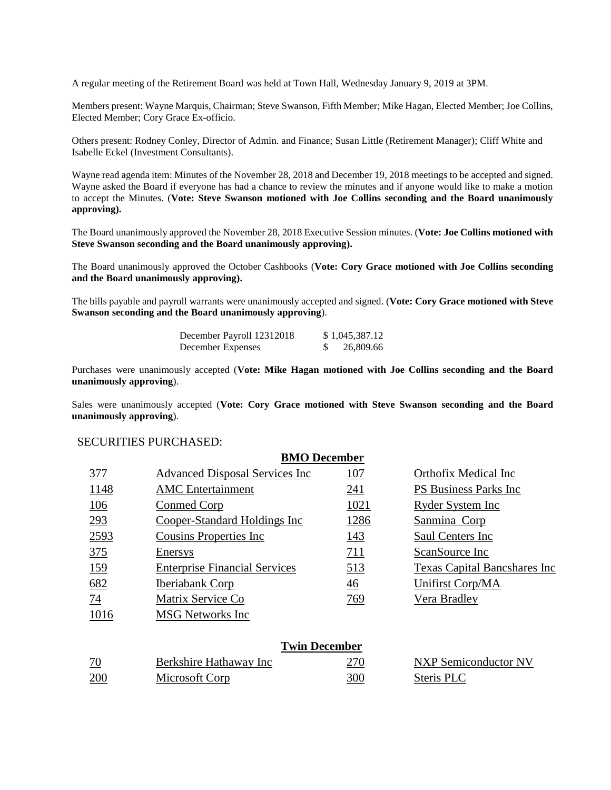A regular meeting of the Retirement Board was held at Town Hall, Wednesday January 9, 2019 at 3PM.

Members present: Wayne Marquis, Chairman; Steve Swanson, Fifth Member; Mike Hagan, Elected Member; Joe Collins, Elected Member; Cory Grace Ex-officio.

Others present: Rodney Conley, Director of Admin. and Finance; Susan Little (Retirement Manager); Cliff White and Isabelle Eckel (Investment Consultants).

Wayne read agenda item: Minutes of the November 28, 2018 and December 19, 2018 meetings to be accepted and signed. Wayne asked the Board if everyone has had a chance to review the minutes and if anyone would like to make a motion to accept the Minutes. (**Vote: Steve Swanson motioned with Joe Collins seconding and the Board unanimously approving).**

The Board unanimously approved the November 28, 2018 Executive Session minutes. (**Vote: Joe Collins motioned with Steve Swanson seconding and the Board unanimously approving).**

The Board unanimously approved the October Cashbooks (**Vote: Cory Grace motioned with Joe Collins seconding and the Board unanimously approving).**

The bills payable and payroll warrants were unanimously accepted and signed. (**Vote: Cory Grace motioned with Steve Swanson seconding and the Board unanimously approving**).

| December Payroll 12312018 | \$1,045,387.12 |
|---------------------------|----------------|
| December Expenses         | 26,809.66      |

Purchases were unanimously accepted (**Vote: Mike Hagan motioned with Joe Collins seconding and the Board unanimously approving**).

Sales were unanimously accepted (**Vote: Cory Grace motioned with Steve Swanson seconding and the Board unanimously approving**).

#### SECURITIES PURCHASED:

|                      | <b>BMO</b> December                    |                |                                      |  |  |
|----------------------|----------------------------------------|----------------|--------------------------------------|--|--|
| 377                  | <b>Advanced Disposal Services Inc.</b> | <u>107</u>     | Orthofix Medical Inc                 |  |  |
| 1148                 | <b>AMC</b> Entertainment               | 241            | <b>PS Business Parks Inc.</b>        |  |  |
| 106                  | Conmed Corp                            | 1021           | <b>Ryder System Inc</b>              |  |  |
| 293                  | Cooper-Standard Holdings Inc           | 1286           | Sanmina Corp                         |  |  |
| 2593                 | <b>Cousins Properties Inc.</b>         | 143            | Saul Centers Inc.                    |  |  |
| 375                  | Enersys                                | 711            | ScanSource Inc                       |  |  |
| 159                  | <b>Enterprise Financial Services</b>   | 513            | <b>Texas Capital Bancshares Inc.</b> |  |  |
| 682                  | <b>Iberiabank Corp</b>                 | $\frac{46}{5}$ | Unifirst Corp/MA                     |  |  |
| 74                   | Matrix Service Co                      | 769            | Vera Bradley                         |  |  |
| 1016                 | <b>MSG</b> Networks Inc                |                |                                      |  |  |
|                      |                                        |                |                                      |  |  |
| <b>Twin December</b> |                                        |                |                                      |  |  |
| 70                   | Rerkshire Hathaway Inc.                | 270            | NYP Semiconductor NV                 |  |  |

| 70  | Berkshire Hathaway Inc |     | NXP Semiconductor NV |  |
|-----|------------------------|-----|----------------------|--|
| 200 | Microsoft Corp         | 300 | <b>Steris PLC</b>    |  |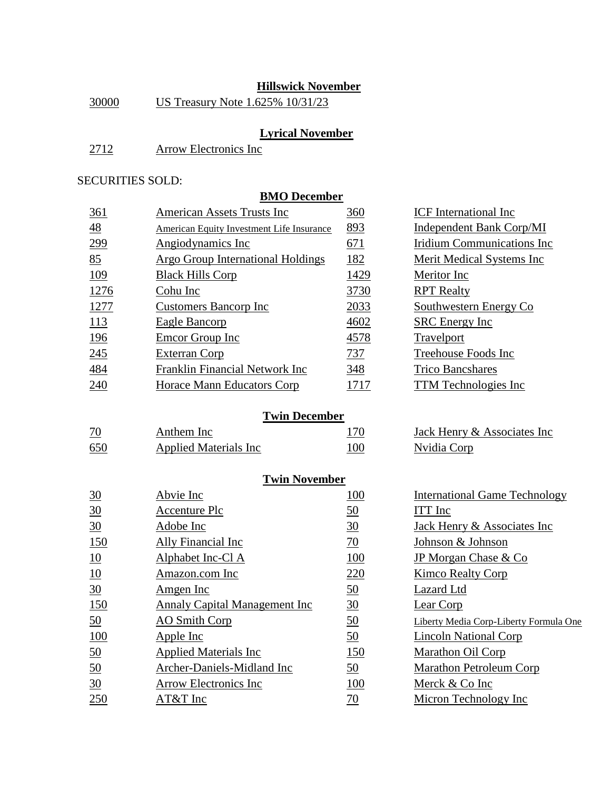## **Hillswick November**

| 30000 |  | US Treasury Note 1.625% 10/31/23 |
|-------|--|----------------------------------|
|       |  |                                  |

# **Lyrical November**

| 2712 | Arrow Electronics Inc |  |
|------|-----------------------|--|
|      |                       |  |

### SECURITIES SOLD:

## **BMO December**

| 361            | <b>American Assets Trusts Inc</b>                | 360  | <b>ICF</b> International Inc      |
|----------------|--------------------------------------------------|------|-----------------------------------|
| $\frac{48}{5}$ | <b>American Equity Investment Life Insurance</b> | 893  | Independent Bank Corp/MI          |
| 299            | Angiodynamics Inc                                | 671  | <b>Iridium Communications Inc</b> |
| 85             | Argo Group International Holdings                | 182  | Merit Medical Systems Inc         |
| <u>109</u>     | <b>Black Hills Corp</b>                          | 1429 | Meritor Inc                       |
| <u>1276</u>    | Cohu Inc                                         | 3730 | <b>RPT</b> Realty                 |
| <u>1277</u>    | <b>Customers Bancorp Inc</b>                     | 2033 | Southwestern Energy Co            |
| 113            | Eagle Bancorp                                    | 4602 | <b>SRC</b> Energy Inc             |
| <u>196</u>     | Emcor Group Inc                                  | 4578 | Travelport                        |
| 245            | <b>Exterran Corp</b>                             | 737  | Treehouse Foods Inc               |
| <u>484</u>     | Franklin Financial Network Inc                   | 348  | <b>Trico Bancshares</b>           |
| 240            | Horace Mann Educators Corp                       | 1717 | <b>TTM</b> Technologies Inc       |

### **Twin December**

| $\overline{10}$ | Anthem Inc.                   | 170 |
|-----------------|-------------------------------|-----|
| 650             | <b>Applied Materials Inc.</b> | 100 |

## **Twin November**

| $\underline{30}$ | Abvie Inc                     | 100              | <b>International Game Technology</b>   |
|------------------|-------------------------------|------------------|----------------------------------------|
| $\frac{30}{5}$   | Accenture Plc                 | $\underline{50}$ | ITT Inc                                |
| $\underline{30}$ | Adobe Inc                     | $\underline{30}$ | Jack Henry & Associates Inc            |
| 150              | Ally Financial Inc            | $\overline{10}$  | Johnson & Johnson                      |
| $\underline{10}$ | Alphabet Inc-Cl A             | <u>100</u>       | JP Morgan Chase & Co                   |
| 10               | Amazon.com Inc                | 220              | Kimco Realty Corp                      |
| 30               | Amgen Inc                     | $\underline{50}$ | <b>Lazard</b> Ltd                      |
| 150              | Annaly Capital Management Inc | $\frac{30}{2}$   | Lear Corp                              |
| 50               | <b>AO</b> Smith Corp          | $\underline{50}$ | Liberty Media Corp-Liberty Formula One |
| 100              | Apple Inc                     | $\underline{50}$ | Lincoln National Corp                  |
| $\underline{50}$ | <b>Applied Materials Inc.</b> | <u>150</u>       | Marathon Oil Corp                      |
| $\underline{50}$ | Archer-Daniels-Midland Inc    | $\underline{50}$ | <b>Marathon Petroleum Corp</b>         |
| 30               | Arrow Electronics Inc         | <u>100</u>       | Merck & Co Inc                         |
| 250              | AT&T Inc                      | $\overline{20}$  | Micron Technology Inc                  |
|                  |                               |                  |                                        |

| <b>ICF</b> International Inc |
|------------------------------|
| Independent Bank Corp/MI     |
| Iridium Communications Inc   |
| Merit Medical Systems Inc    |
| Meritor Inc                  |
| <b>RPT</b> Realty            |
| Southwestern Energy Co       |
| <b>SRC</b> Energy Inc        |
| Travelport                   |
| Treehouse Foods Inc          |
| <b>Trico Bancshares</b>      |
| <b>TTM</b> Technologies Inc  |

Jack Henry & Associates Inc Nvidia Corp

| <b>International Game Technology</b>   |
|----------------------------------------|
| <b>ITT</b> Inc                         |
| Jack Henry & Associates Inc            |
| Johnson & Johnson                      |
| JP Morgan Chase & Co                   |
| Kimco Realty Corp                      |
| Lazard Ltd                             |
| Lear Corp                              |
| Liberty Media Corp-Liberty Formula One |
| <b>Lincoln National Corp</b>           |
| Marathon Oil Corp                      |
| Marathon Petroleum Corp                |
| Merck & Co Inc                         |
| Micron Technology Inc                  |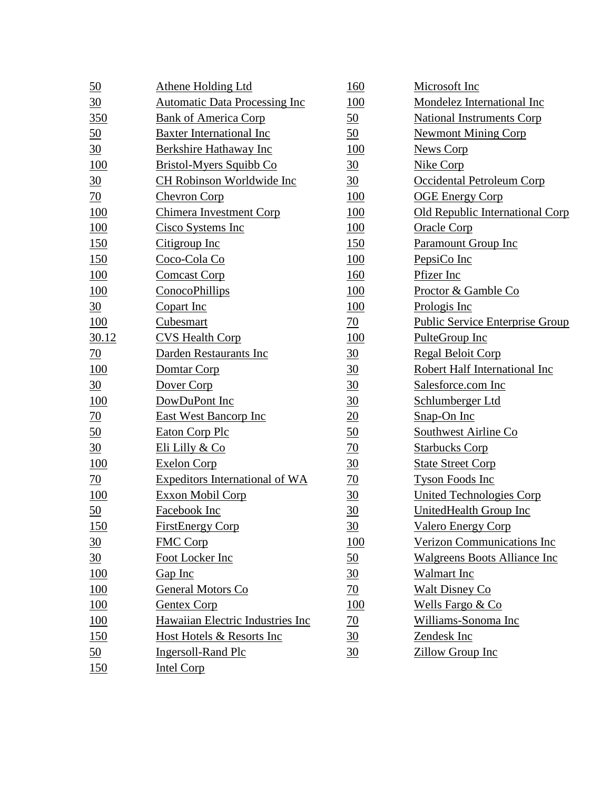| <u>50</u>        | <b>Athene Holding Ltd</b>             | 160              | Microsoft Inc                       |
|------------------|---------------------------------------|------------------|-------------------------------------|
| $\frac{30}{5}$   | <b>Automatic Data Processing Inc</b>  | 100              | Mondelez International Inc          |
| 350              | <b>Bank of America Corp</b>           | $\underline{50}$ | <b>National Instruments Corp</b>    |
| $\underline{50}$ | Baxter International Inc              | $\underline{50}$ | <b>Newmont Mining Corp</b>          |
| $\frac{30}{5}$   | Berkshire Hathaway Inc                | 100              | <b>News Corp</b>                    |
| 100              | Bristol-Myers Squibb Co               | $\frac{30}{5}$   | Nike Corp                           |
| $\frac{30}{5}$   | CH Robinson Worldwide Inc             | 30               | Occidental Petroleum Corp           |
| $\overline{20}$  | <b>Chevron Corp</b>                   | 100              | <b>OGE Energy Corp</b>              |
| 100              | Chimera Investment Corp               | 100              | Old Republic International Corp     |
| 100              | Cisco Systems Inc                     | 100              | <b>Oracle Corp</b>                  |
| 150              | Citigroup Inc                         | 150              | <b>Paramount Group Inc</b>          |
| 150              | Coco-Cola Co                          | 100              | PepsiCo Inc                         |
| <b>100</b>       | <b>Comcast Corp</b>                   | 160              | Pfizer Inc                          |
| 100              | ConocoPhillips                        | <b>100</b>       | Proctor & Gamble Co                 |
| $\frac{30}{5}$   | Copart Inc                            | 100              | Prologis Inc                        |
| 100              | Cubesmart                             | 70               | Public Service Enterprise Group     |
| 30.12            | <b>CVS Health Corp</b>                | 100              | PulteGroup Inc                      |
| $\overline{20}$  | Darden Restaurants Inc                | $\frac{30}{5}$   | <b>Regal Beloit Corp</b>            |
| <b>100</b>       | Domtar Corp                           | 30               | Robert Half International Inc       |
| $\frac{30}{5}$   | Dover Corp                            | $\frac{30}{5}$   | Salesforce.com Inc                  |
| <b>100</b>       | DowDuPont Inc                         | $\frac{30}{5}$   | Schlumberger Ltd                    |
| $\frac{70}{2}$   | East West Bancorp Inc                 | $\underline{20}$ | Snap-On Inc                         |
| <u>50</u>        | <b>Eaton Corp Plc</b>                 | 50               | Southwest Airline Co                |
| $\frac{30}{5}$   | Eli Lilly & Co                        | $\overline{70}$  | <b>Starbucks Corp</b>               |
| 100              | <b>Exelon Corp</b>                    | $\frac{30}{5}$   | <b>State Street Corp</b>            |
| $\overline{20}$  | <b>Expeditors International of WA</b> | $\frac{70}{2}$   | <b>Tyson Foods Inc</b>              |
| <b>100</b>       | Exxon Mobil Corp                      | 30               | <b>United Technologies Corp</b>     |
| $\underline{50}$ | Facebook Inc                          | 30               | <b>UnitedHealth Group Inc</b>       |
| 150              | <b>FirstEnergy Corp</b>               | $\frac{30}{5}$   | <b>Valero Energy Corp</b>           |
| $\frac{30}{5}$   | <b>FMC Corp</b>                       | 100              | Verizon Communications Inc          |
| $\frac{30}{5}$   | Foot Locker Inc                       | $\underline{50}$ | <b>Walgreens Boots Alliance Inc</b> |
| <b>100</b>       | Gap Inc                               | $\frac{30}{5}$   | <b>Walmart</b> Inc                  |
| 100              | General Motors Co                     | $\overline{70}$  | <b>Walt Disney Co</b>               |
| 100              | <b>Gentex Corp</b>                    | 100              | Wells Fargo & Co                    |
| 100              | Hawaiian Electric Industries Inc      | <u>70</u>        | Williams-Sonoma Inc                 |
| 150              | Host Hotels & Resorts Inc             | $\frac{30}{5}$   | Zendesk Inc                         |
| <u>50</u>        | <b>Ingersoll-Rand Plc</b>             | $\frac{30}{5}$   | <b>Zillow Group Inc</b>             |
| 150              | <b>Intel Corp</b>                     |                  |                                     |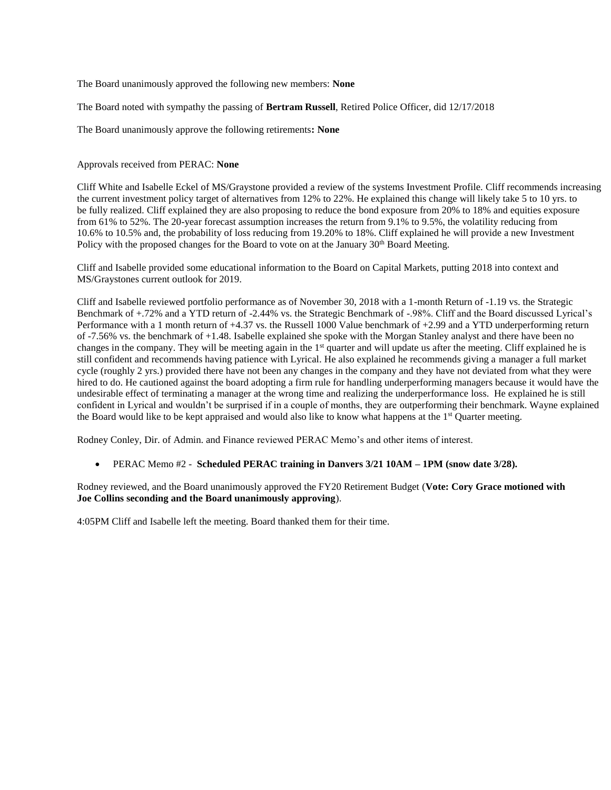The Board unanimously approved the following new members: **None**

The Board noted with sympathy the passing of **Bertram Russell**, Retired Police Officer, did 12/17/2018

The Board unanimously approve the following retirements**: None**

Approvals received from PERAC: **None**

Cliff White and Isabelle Eckel of MS/Graystone provided a review of the systems Investment Profile. Cliff recommends increasing the current investment policy target of alternatives from 12% to 22%. He explained this change will likely take 5 to 10 yrs. to be fully realized. Cliff explained they are also proposing to reduce the bond exposure from 20% to 18% and equities exposure from 61% to 52%. The 20-year forecast assumption increases the return from 9.1% to 9.5%, the volatility reducing from 10.6% to 10.5% and, the probability of loss reducing from 19.20% to 18%. Cliff explained he will provide a new Investment Policy with the proposed changes for the Board to vote on at the January  $30<sup>th</sup>$  Board Meeting.

Cliff and Isabelle provided some educational information to the Board on Capital Markets, putting 2018 into context and MS/Graystones current outlook for 2019.

Cliff and Isabelle reviewed portfolio performance as of November 30, 2018 with a 1-month Return of -1.19 vs. the Strategic Benchmark of +.72% and a YTD return of -2.44% vs. the Strategic Benchmark of -.98%. Cliff and the Board discussed Lyrical's Performance with a 1 month return of +4.37 vs. the Russell 1000 Value benchmark of +2.99 and a YTD underperforming return of -7.56% vs. the benchmark of +1.48. Isabelle explained she spoke with the Morgan Stanley analyst and there have been no changes in the company. They will be meeting again in the 1<sup>st</sup> quarter and will update us after the meeting. Cliff explained he is still confident and recommends having patience with Lyrical. He also explained he recommends giving a manager a full market cycle (roughly 2 yrs.) provided there have not been any changes in the company and they have not deviated from what they were hired to do. He cautioned against the board adopting a firm rule for handling underperforming managers because it would have the undesirable effect of terminating a manager at the wrong time and realizing the underperformance loss. He explained he is still confident in Lyrical and wouldn't be surprised if in a couple of months, they are outperforming their benchmark. Wayne explained the Board would like to be kept appraised and would also like to know what happens at the  $1<sup>st</sup>$  Quarter meeting.

Rodney Conley, Dir. of Admin. and Finance reviewed PERAC Memo's and other items of interest.

• PERAC Memo #2 - **Scheduled PERAC training in Danvers 3/21 10AM – 1PM (snow date 3/28).**

Rodney reviewed, and the Board unanimously approved the FY20 Retirement Budget (**Vote: Cory Grace motioned with Joe Collins seconding and the Board unanimously approving**).

4:05PM Cliff and Isabelle left the meeting. Board thanked them for their time.